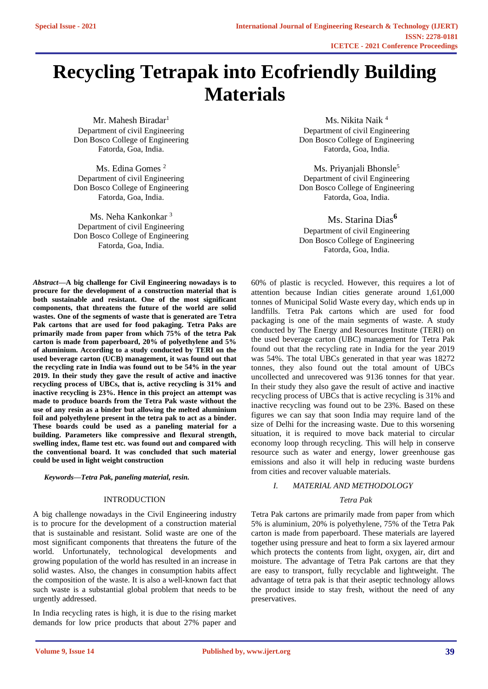# **Recycling Tetrapak into Ecofriendly Building Materials**

Mr. Mahesh Biradar<sup>1</sup> Department of civil Engineering Don Bosco College of Engineering Fatorda, Goa, India.

Ms. Edina Gomes<sup>2</sup> Department of civil Engineering Don Bosco College of Engineering Fatorda, Goa, India.

Ms. Neha Kankonkar<sup>3</sup> Department of civil Engineering Don Bosco College of Engineering Fatorda, Goa, India.

*Abstract***—A big challenge for Civil Engineering nowadays is to procure for the development of a construction material that is both sustainable and resistant. One of the most significant components, that threatens the future of the world are solid wastes. One of the segments of waste that is generated are Tetra Pak cartons that are used for food pakaging. Tetra Paks are primarily made from paper from which 75% of the tetra Pak carton is made from paperboard, 20% of polyethylene and 5% of aluminium. According to a study conducted by TERI on the used beverage carton (UCB) management, it was found out that the recycling rate in India was found out to be 54% in the year 2019. In their study they gave the result of active and inactive recycling process of UBCs, that is, active recycling is 31% and inactive recycling is 23%. Hence in this project an attempt was made to produce boards from the Tetra Pak waste without the use of any resin as a binder but allowing the melted aluminium foil and polyethylene present in the tetra pak to act as a binder. These boards could be used as a paneling material for a building. Parameters like compressive and flexural strength, swelling index, flame test etc. was found out and compared with the conventional board. It was concluded that such material could be used in light weight construction**

*Keywords—Tetra Pak, paneling material, resin.*

### INTRODUCTION

A big challenge nowadays in the Civil Engineering industry is to procure for the development of a construction material that is sustainable and resistant. Solid waste are one of the most significant components that threatens the future of the world. Unfortunately, technological developments and growing population of the world has resulted in an increase in solid wastes. Also, the changes in consumption habits affect the composition of the waste. It is also a well-known fact that such waste is a substantial global problem that needs to be urgently addressed.

In India recycling rates is high, it is due to the rising market demands for low price products that about 27% paper and

Ms. Nikita Naik <sup>4</sup> Department of civil Engineering Don Bosco College of Engineering Fatorda, Goa, India.

Ms. Priyanjali Bhonsle<sup>5</sup> Department of civil Engineering Don Bosco College of Engineering Fatorda, Goa, India.

Ms. Starina Dias**<sup>6</sup>** Department of civil Engineering Don Bosco College of Engineering Fatorda, Goa, India.

60% of plastic is recycled. However, this requires a lot of attention because Indian cities generate around 1,61,000 tonnes of Municipal Solid Waste every day, which ends up in landfills. Tetra Pak cartons which are used for food packaging is one of the main segments of waste. A study conducted by The Energy and Resources Institute (TERI) on the used beverage carton (UBC) management for Tetra Pak found out that the recycling rate in India for the year 2019 was 54%. The total UBCs generated in that year was 18272 tonnes, they also found out the total amount of UBCs uncollected and unrecovered was 9136 tonnes for that year. In their study they also gave the result of active and inactive recycling process of UBCs that is active recycling is 31% and inactive recycling was found out to be 23%. Based on these figures we can say that soon India may require land of the size of Delhi for the increasing waste. Due to this worsening situation, it is required to move back material to circular economy loop through recycling. This will help in conserve resource such as water and energy, lower greenhouse gas emissions and also it will help in reducing waste burdens from cities and recover valuable materials.

## *I. MATERIAL AND METHODOLOGY*

### *Tetra Pak*

Tetra Pak cartons are primarily made from paper from which 5% is aluminium, 20% is polyethylene, 75% of the Tetra Pak carton is made from paperboard. These materials are layered together using pressure and heat to form a six layered armour which protects the contents from light, oxygen, air, dirt and moisture. The advantage of Tetra Pak cartons are that they are easy to transport, fully recyclable and lightweight. The advantage of tetra pak is that their aseptic technology allows the product inside to stay fresh, without the need of any preservatives.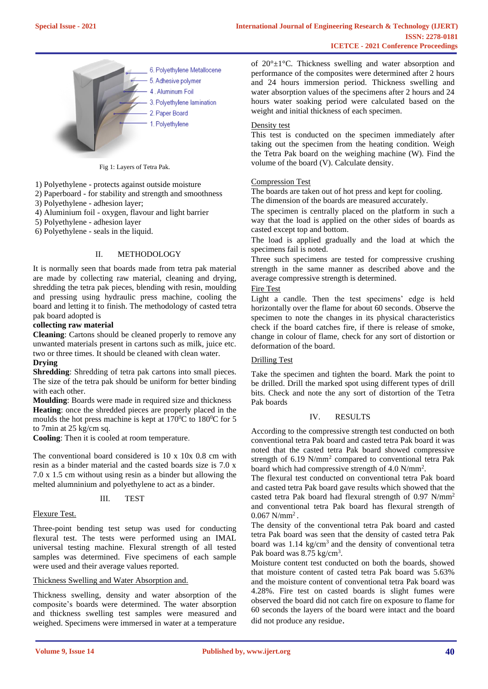

Fig 1: Layers of Tetra Pak.

1) Polyethylene - protects against outside moisture

2) Paperboard - for stability and strength and smoothness

3) Polyethylene - adhesion layer;

4) Aluminium foil - oxygen, flavour and light barrier

5) Polyethylene - adhesion layer

6) Polyethylene - seals in the liquid.

## II. METHODOLOGY

It is normally seen that boards made from tetra pak material are made by collecting raw material, cleaning and drying, shredding the tetra pak pieces, blending with resin, moulding and pressing using hydraulic press machine, cooling the board and letting it to finish. The methodology of casted tetra pak board adopted is

#### **collecting raw material**

**Cleaning**: Cartons should be cleaned properly to remove any unwanted materials present in cartons such as milk, juice etc. two or three times. It should be cleaned with clean water.

# **Drying**

**Shredding**: Shredding of tetra pak cartons into small pieces. The size of the tetra pak should be uniform for better binding with each other.

**Moulding**: Boards were made in required size and thickness **Heating**: once the shredded pieces are properly placed in the moulds the hot press machine is kept at  $170^{\circ}$ C to  $180^{\circ}$ C for 5 to 7min at 25 kg/cm sq.

**Cooling**: Then it is cooled at room temperature.

The conventional board considered is 10 x 10x 0.8 cm with resin as a binder material and the casted boards size is 7.0 x 7.0 x 1.5 cm without using resin as a binder but allowing the melted alumninium and polyethylene to act as a binder.

#### III. TEST

#### Flexure Test.

Three-point bending test setup was used for conducting flexural test. The tests were performed using an IMAL universal testing machine. Flexural strength of all tested samples was determined. Five specimens of each sample were used and their average values reported.

#### Thickness Swelling and Water Absorption and.

Thickness swelling, density and water absorption of the composite's boards were determined. The water absorption and thickness swelling test samples were measured and weighed. Specimens were immersed in water at a temperature of 20°±1°C. Thickness swelling and water absorption and performance of the composites were determined after 2 hours and 24 hours immersion period. Thickness swelling and water absorption values of the specimens after 2 hours and 24 hours water soaking period were calculated based on the weight and initial thickness of each specimen.

#### Density test

This test is conducted on the specimen immediately after taking out the specimen from the heating condition. Weigh the Tetra Pak board on the weighing machine (W). Find the volume of the board (V). Calculate density.

#### Compression Test

The boards are taken out of hot press and kept for cooling. The dimension of the boards are measured accurately.

The specimen is centrally placed on the platform in such a way that the load is applied on the other sides of boards as casted except top and bottom.

The load is applied gradually and the load at which the specimens fail is noted.

Three such specimens are tested for compressive crushing strength in the same manner as described above and the average compressive strength is determined.

Fire Test

Light a candle. Then the test specimens' edge is held horizontally over the flame for about 60 seconds. Observe the specimen to note the changes in its physical characteristics check if the board catches fire, if there is release of smoke, change in colour of flame, check for any sort of distortion or deformation of the board.

#### Drilling Test

Take the specimen and tighten the board. Mark the point to be drilled. Drill the marked spot using different types of drill bits. Check and note the any sort of distortion of the Tetra Pak boards

## IV. RESULTS

According to the compressive strength test conducted on both conventional tetra Pak board and casted tetra Pak board it was noted that the casted tetra Pak board showed compressive strength of 6.19 N/mm<sup>2</sup> compared to conventional tetra Pak board which had compressive strength of 4.0 N/mm<sup>2</sup>.

The flexural test conducted on conventional tetra Pak board and casted tetra Pak board gave results which showed that the casted tetra Pak board had flexural strength of 0.97 N/mm<sup>2</sup> and conventional tetra Pak board has flexural strength of  $0.067$  N/mm<sup>2</sup>.

The density of the conventional tetra Pak board and casted tetra Pak board was seen that the density of casted tetra Pak board was 1.14 kg/cm<sup>3</sup> and the density of conventional tetra Pak board was 8.75 kg/cm<sup>3</sup>.

Moisture content test conducted on both the boards, showed that moisture content of casted tetra Pak board was 5.63% and the moisture content of conventional tetra Pak board was 4.28%. Fire test on casted boards is slight fumes were observed the board did not catch fire on exposure to flame for 60 seconds the layers of the board were intact and the board did not produce any residue.